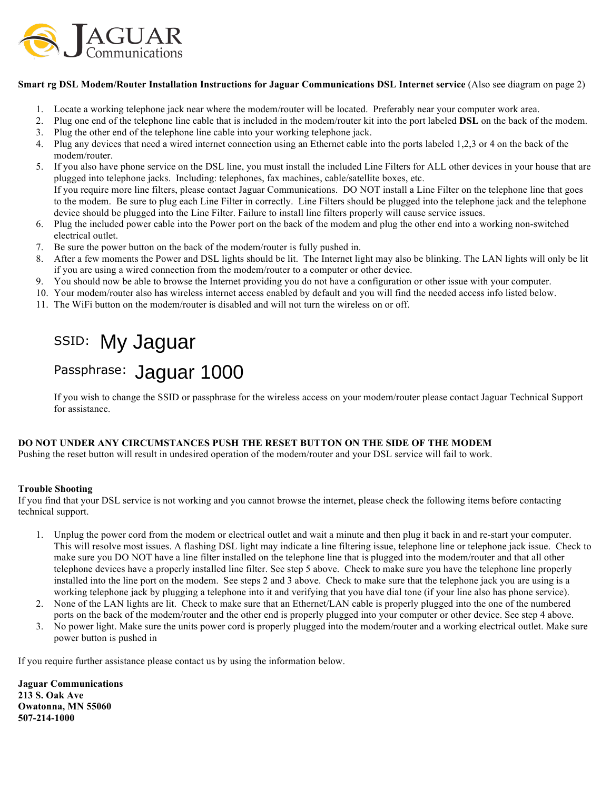

#### **Smart rg DSL Modem/Router Installation Instructions for Jaguar Communications DSL Internet service** (Also see diagram on page 2)

- 1. Locate a working telephone jack near where the modem/router will be located. Preferably near your computer work area.
- 2. Plug one end of the telephone line cable that is included in the modem/router kit into the port labeled **DSL** on the back of the modem.
- 3. Plug the other end of the telephone line cable into your working telephone jack.
- 4. Plug any devices that need a wired internet connection using an Ethernet cable into the ports labeled 1,2,3 or 4 on the back of the modem/router.
- 5. If you also have phone service on the DSL line, you must install the included Line Filters for ALL other devices in your house that are plugged into telephone jacks. Including: telephones, fax machines, cable/satellite boxes, etc. If you require more line filters, please contact Jaguar Communications. DO NOT install a Line Filter on the telephone line that goes to the modem. Be sure to plug each Line Filter in correctly. Line Filters should be plugged into the telephone jack and the telephone device should be plugged into the Line Filter. Failure to install line filters properly will cause service issues.
- 6. Plug the included power cable into the Power port on the back of the modem and plug the other end into a working non-switched electrical outlet.
- 7. Be sure the power button on the back of the modem/router is fully pushed in.
- 8. After a few moments the Power and DSL lights should be lit. The Internet light may also be blinking. The LAN lights will only be lit if you are using a wired connection from the modem/router to a computer or other device.
- 9. You should now be able to browse the Internet providing you do not have a configuration or other issue with your computer.
- 10. Your modem/router also has wireless internet access enabled by default and you will find the needed access info listed below.
- 11. The WiFi button on the modem/router is disabled and will not turn the wireless on or off.

# SSID: My Jaguar

## Passphrase: Jaguar 1000

If you wish to change the SSID or passphrase for the wireless access on your modem/router please contact Jaguar Technical Support for assistance.

### **DO NOT UNDER ANY CIRCUMSTANCES PUSH THE RESET BUTTON ON THE SIDE OF THE MODEM**

Pushing the reset button will result in undesired operation of the modem/router and your DSL service will fail to work.

### **Trouble Shooting**

If you find that your DSL service is not working and you cannot browse the internet, please check the following items before contacting technical support.

- 1. Unplug the power cord from the modem or electrical outlet and wait a minute and then plug it back in and re-start your computer. This will resolve most issues. A flashing DSL light may indicate a line filtering issue, telephone line or telephone jack issue. Check to make sure you DO NOT have a line filter installed on the telephone line that is plugged into the modem/router and that all other telephone devices have a properly installed line filter. See step 5 above. Check to make sure you have the telephone line properly installed into the line port on the modem. See steps 2 and 3 above. Check to make sure that the telephone jack you are using is a working telephone jack by plugging a telephone into it and verifying that you have dial tone (if your line also has phone service).
- 2. None of the LAN lights are lit. Check to make sure that an Ethernet/LAN cable is properly plugged into the one of the numbered ports on the back of the modem/router and the other end is properly plugged into your computer or other device. See step 4 above.
- 3. No power light. Make sure the units power cord is properly plugged into the modem/router and a working electrical outlet. Make sure power button is pushed in

If you require further assistance please contact us by using the information below.

**Jaguar Communications 213 S. Oak Ave Owatonna, MN 55060 507-214-1000**